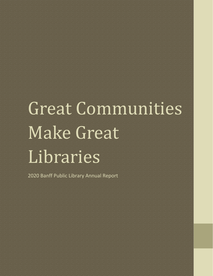# Great Communities Make Great Libraries

2020 Banff Public Library Annual Report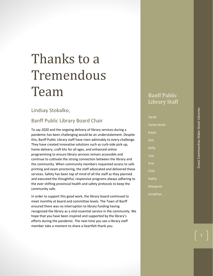### Thanks to a Tremendous Team

#### Lindsay Stokalko,

#### Banff Public Library Board Chair

To say 2020 and the ongoing delivery of library services during a pandemic has been challenging would be an understatement. Despite this, Banff Public Library staff have risen admirably to every challenge. They have created innovative solutions such as curb-side pick-up, home delivery, craft kits for all ages, and enhanced online programming to ensure library services remain accessible and continue to cultivate the strong connection between the library and the community. When community members requested access to safe printing and exam proctoring, the staff advocated and delivered these services. Safety has been top of mind of all the staff as they planned and executed the thoughtful, responsive programs always adhering to the ever shifting provincial health and safety protocols to keep the community safe.

In order to support this good work, the library board continued to meet monthly at board and committee levels. The Town of Banff ensured there was no interruption to library funding having recognized the library as a vital essential service in the community. We hope that you have been inspired and supported by the library's efforts during the pandemic. The next time you see a library staff member take a moment to share a heartfelt thank you.

### Banff Public Library Staff

| Sarah        |
|--------------|
| Carey-Anne   |
| Kayla        |
| Kim          |
| <b>Kelly</b> |
| Liza         |
| Erin         |
| Chie         |
| Kathy        |
| Margaret     |
| Jonathan     |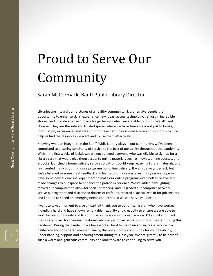### Proud to Serve Our Community

Sarah McCormack, Banff Public Library Director

Libraries are integral cornerstones of a healthy community. Libraries give people the opportunity to enhance skills, experience new ideas, access technology, get lost in incredible stories, and provide a sense of place for gathering (when we are able to do so). We all need libraries. They are the safe and trusted spaces where we have free access not just to books, information, experiences and ideas but to the expert professional advice and support which can help us find the resources we want and to use them effectively.

Knowing what an integral role the Banff Public Library plays in our community, we've been committed to ensuring continuity of service to the best of our ability throughout the pandemic. Within the first weeks of lockdown, we encouraged everyone who was eligible to sign up for a library card that would give them access to online materials such as movies, online courses, and e-books, launched a home delivery service so patrons could keep receiving library materials, and re-invented many of our in-house programs for online delivery. It wasn't always perfect, but we've listened to some great feedback and learned from our mistakes. This year we hope to have some new audiovisual equipment to make our online programs even better. We've also made changes to our space to enhance the patron experience. We've added new lighting, moved our computers to allow for social distancing, and upgraded our computer network. We've put together and distributed dozens of craft kits, created a specialized kit for job seekers and kept up to speed on emerging needs and trends so we can serve you better.

I want to take a moment to give a heartfelt thank you to our amazing staff who have worked incredibly hard and have shown remarkable flexibility and creativity to ensure we are able to work for our community and to continue our mission in innovative ways. I'd also like to thank the Library Board for their unconditional advocacy and hard work supporting the staff during this pandemic. During the pandemic we have worked hard to maintain and increase service in a deliberate and considered manner. Finally, thank you to our community for your flexibility, understanding, support and encouragement during this last year. We are grateful to be part of such a warm and generous community and look forward to continuing to serve you.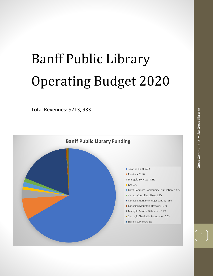## Banff Public Library Operating Budget 2020

Total Revenues: \$713, 933



3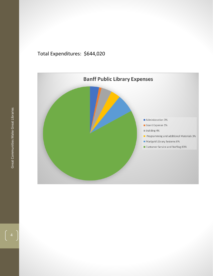#### Total Expenditures: \$644,020